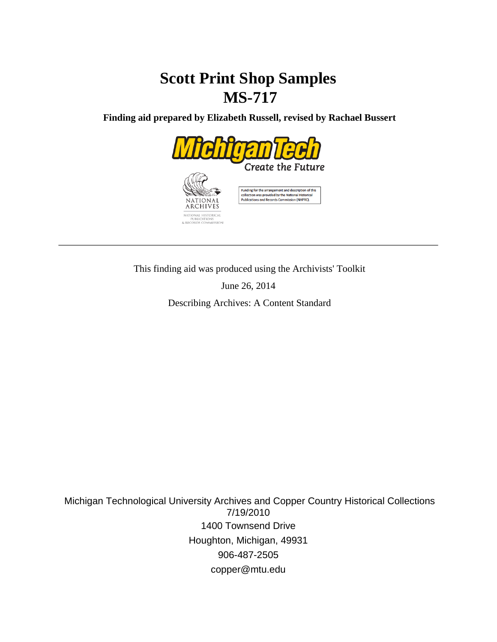# **Scott Print Shop Samples MS-717**

 **Finding aid prepared by Elizabeth Russell, revised by Rachael Bussert**



This finding aid was produced using the Archivists' Toolkit

June 26, 2014

Describing Archives: A Content Standard

 Michigan Technological University Archives and Copper Country Historical Collections 7/19/2010 1400 Townsend Drive Houghton, Michigan, 49931 906-487-2505 copper@mtu.edu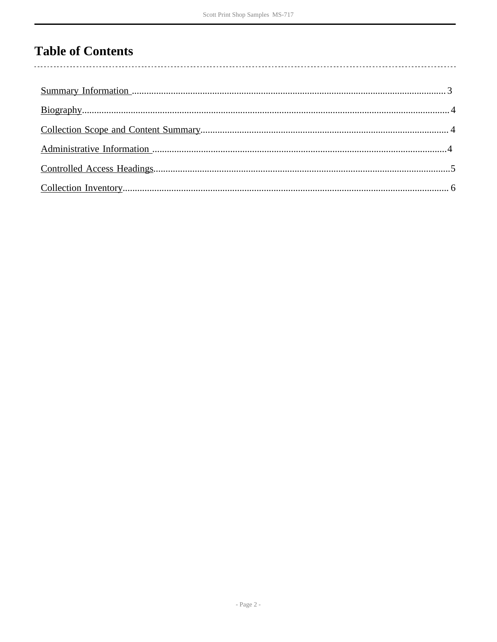## **Table of Contents**

 $\overline{\phantom{a}}$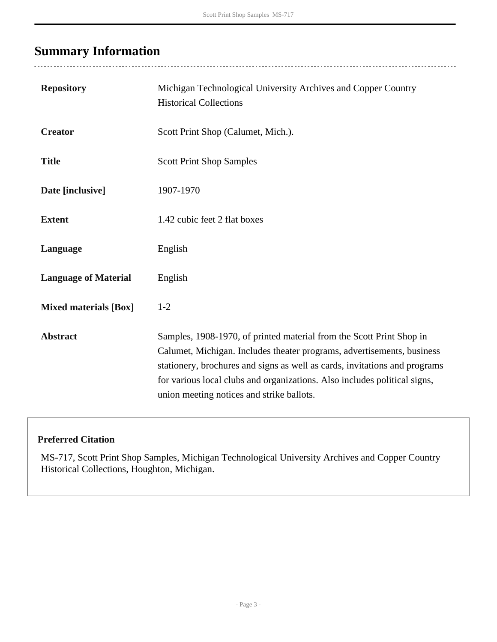# <span id="page-2-0"></span>**Summary Information**

 $\overline{a}$ 

| <b>Repository</b>            | Michigan Technological University Archives and Copper Country<br><b>Historical Collections</b>                                                                                                                                                                                                                                                         |
|------------------------------|--------------------------------------------------------------------------------------------------------------------------------------------------------------------------------------------------------------------------------------------------------------------------------------------------------------------------------------------------------|
| <b>Creator</b>               | Scott Print Shop (Calumet, Mich.).                                                                                                                                                                                                                                                                                                                     |
| <b>Title</b>                 | <b>Scott Print Shop Samples</b>                                                                                                                                                                                                                                                                                                                        |
| Date [inclusive]             | 1907-1970                                                                                                                                                                                                                                                                                                                                              |
| <b>Extent</b>                | 1.42 cubic feet 2 flat boxes                                                                                                                                                                                                                                                                                                                           |
| Language                     | English                                                                                                                                                                                                                                                                                                                                                |
| <b>Language of Material</b>  | English                                                                                                                                                                                                                                                                                                                                                |
| <b>Mixed materials [Box]</b> | $1 - 2$                                                                                                                                                                                                                                                                                                                                                |
| <b>Abstract</b>              | Samples, 1908-1970, of printed material from the Scott Print Shop in<br>Calumet, Michigan. Includes theater programs, advertisements, business<br>stationery, brochures and signs as well as cards, invitations and programs<br>for various local clubs and organizations. Also includes political signs,<br>union meeting notices and strike ballots. |

#### **Preferred Citation**

MS-717, Scott Print Shop Samples, Michigan Technological University Archives and Copper Country Historical Collections, Houghton, Michigan.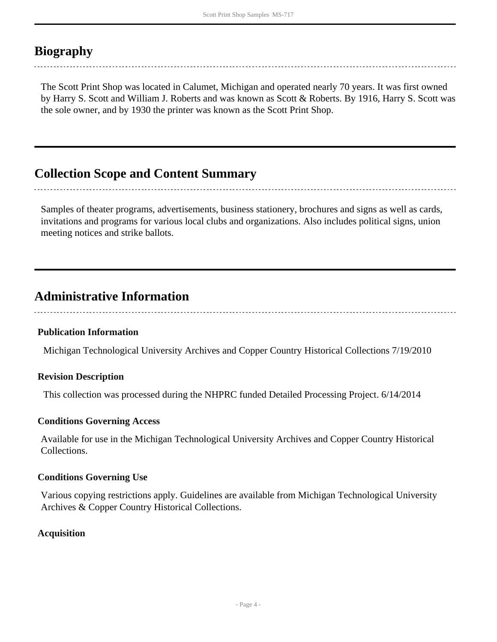## <span id="page-3-0"></span>**Biography**

The Scott Print Shop was located in Calumet, Michigan and operated nearly 70 years. It was first owned by Harry S. Scott and William J. Roberts and was known as Scott & Roberts. By 1916, Harry S. Scott was the sole owner, and by 1930 the printer was known as the Scott Print Shop.

### <span id="page-3-1"></span>**Collection Scope and Content Summary**

Samples of theater programs, advertisements, business stationery, brochures and signs as well as cards, invitations and programs for various local clubs and organizations. Also includes political signs, union meeting notices and strike ballots.

### <span id="page-3-2"></span>**Administrative Information**

#### **Publication Information**

Michigan Technological University Archives and Copper Country Historical Collections 7/19/2010

#### **Revision Description**

This collection was processed during the NHPRC funded Detailed Processing Project. 6/14/2014

#### **Conditions Governing Access**

Available for use in the Michigan Technological University Archives and Copper Country Historical Collections.

#### **Conditions Governing Use**

Various copying restrictions apply. Guidelines are available from Michigan Technological University Archives & Copper Country Historical Collections.

#### **Acquisition**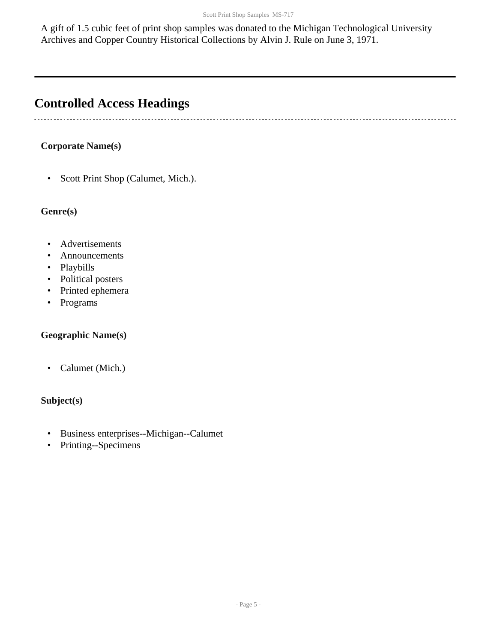A gift of 1.5 cubic feet of print shop samples was donated to the Michigan Technological University Archives and Copper Country Historical Collections by Alvin J. Rule on June 3, 1971.

## <span id="page-4-0"></span>**Controlled Access Headings**

#### **Corporate Name(s)**

• Scott Print Shop (Calumet, Mich.).

#### **Genre(s)**

- Advertisements
- Announcements
- Playbills
- Political posters
- Printed ephemera
- Programs

#### **Geographic Name(s)**

• Calumet (Mich.)

#### **Subject(s)**

- Business enterprises--Michigan--Calumet
- Printing--Specimens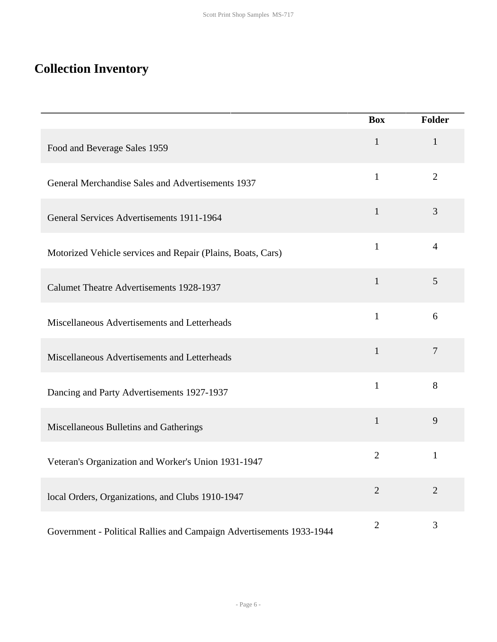## <span id="page-5-0"></span>**Collection Inventory**

|                                                                      | <b>Box</b>     | <b>Folder</b>  |
|----------------------------------------------------------------------|----------------|----------------|
| Food and Beverage Sales 1959                                         | $\mathbf{1}$   | $\mathbf{1}$   |
| General Merchandise Sales and Advertisements 1937                    | $\mathbf{1}$   | $\overline{2}$ |
| General Services Advertisements 1911-1964                            | $\mathbf{1}$   | 3              |
| Motorized Vehicle services and Repair (Plains, Boats, Cars)          | $\mathbf{1}$   | $\overline{4}$ |
| <b>Calumet Theatre Advertisements 1928-1937</b>                      | $\mathbf{1}$   | 5              |
| Miscellaneous Advertisements and Letterheads                         | $\mathbf{1}$   | 6              |
| Miscellaneous Advertisements and Letterheads                         | $\mathbf{1}$   | $\overline{7}$ |
| Dancing and Party Advertisements 1927-1937                           | $\mathbf{1}$   | 8              |
| Miscellaneous Bulletins and Gatherings                               | $\mathbf{1}$   | 9              |
| Veteran's Organization and Worker's Union 1931-1947                  | $\overline{2}$ | $\mathbf{1}$   |
| local Orders, Organizations, and Clubs 1910-1947                     | $\overline{2}$ | $\overline{2}$ |
| Government - Political Rallies and Campaign Advertisements 1933-1944 | $\overline{2}$ | 3              |